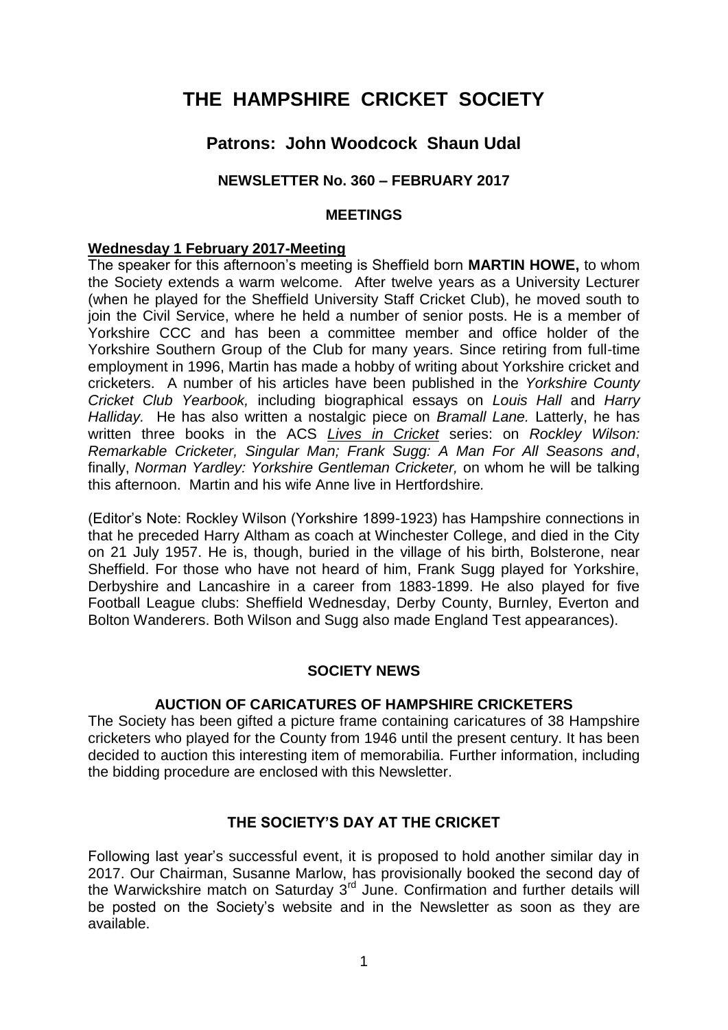# **THE HAMPSHIRE CRICKET SOCIETY**

# **Patrons: John Woodcock Shaun Udal**

# **NEWSLETTER No. 360 – FEBRUARY 2017**

#### **MEETINGS**

#### **Wednesday 1 February 2017-Meeting**

The speaker for this afternoon's meeting is Sheffield born **MARTIN HOWE,** to whom the Society extends a warm welcome. After twelve years as a University Lecturer (when he played for the Sheffield University Staff Cricket Club), he moved south to join the Civil Service, where he held a number of senior posts. He is a member of Yorkshire CCC and has been a committee member and office holder of the Yorkshire Southern Group of the Club for many years. Since retiring from full-time employment in 1996, Martin has made a hobby of writing about Yorkshire cricket and cricketers. A number of his articles have been published in the *Yorkshire County Cricket Club Yearbook,* including biographical essays on *Louis Hall* and *Harry Halliday.* He has also written a nostalgic piece on *Bramall Lane.* Latterly, he has written three books in the ACS *Lives in Cricket* series: on *Rockley Wilson: Remarkable Cricketer, Singular Man; Frank Sugg: A Man For All Seasons and*, finally, *Norman Yardley: Yorkshire Gentleman Cricketer,* on whom he will be talking this afternoon. Martin and his wife Anne live in Hertfordshire*.*

(Editor's Note: Rockley Wilson (Yorkshire 1899-1923) has Hampshire connections in that he preceded Harry Altham as coach at Winchester College, and died in the City on 21 July 1957. He is, though, buried in the village of his birth, Bolsterone, near Sheffield. For those who have not heard of him, Frank Sugg played for Yorkshire, Derbyshire and Lancashire in a career from 1883-1899. He also played for five Football League clubs: Sheffield Wednesday, Derby County, Burnley, Everton and Bolton Wanderers. Both Wilson and Sugg also made England Test appearances).

# **SOCIETY NEWS**

#### **AUCTION OF CARICATURES OF HAMPSHIRE CRICKETERS**

The Society has been gifted a picture frame containing caricatures of 38 Hampshire cricketers who played for the County from 1946 until the present century. It has been decided to auction this interesting item of memorabilia. Further information, including the bidding procedure are enclosed with this Newsletter.

# **THE SOCIETY'S DAY AT THE CRICKET**

Following last year's successful event, it is proposed to hold another similar day in 2017. Our Chairman, Susanne Marlow, has provisionally booked the second day of the Warwickshire match on Saturday  $3<sup>rd</sup>$  June. Confirmation and further details will be posted on the Society's website and in the Newsletter as soon as they are available.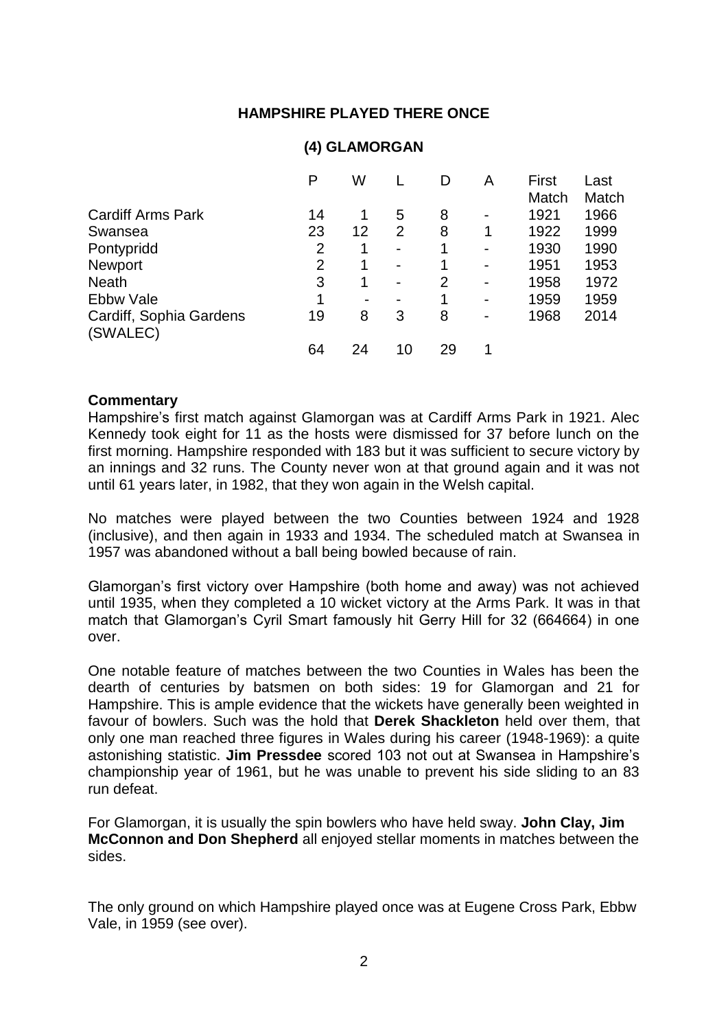# **HAMPSHIRE PLAYED THERE ONCE**

|                                     | P              | W                        |                          |    | Α                        | First | Last  |
|-------------------------------------|----------------|--------------------------|--------------------------|----|--------------------------|-------|-------|
|                                     |                |                          |                          |    |                          | Match | Match |
| <b>Cardiff Arms Park</b>            | 14             | 1                        | 5                        | 8  | $\blacksquare$           | 1921  | 1966  |
| Swansea                             | 23             | 12                       | $\overline{2}$           | 8  | 1                        | 1922  | 1999  |
| Pontypridd                          | $\overline{2}$ | 1                        | $\overline{\phantom{0}}$ | 1  | $\blacksquare$           | 1930  | 1990  |
| <b>Newport</b>                      | $\overline{2}$ | 1                        | $\overline{\phantom{0}}$ | 1  | $\blacksquare$           | 1951  | 1953  |
| <b>Neath</b>                        | 3              | 1                        | $\overline{\phantom{0}}$ | 2  | $\blacksquare$           | 1958  | 1972  |
| <b>Ebbw Vale</b>                    | 1              | $\overline{\phantom{0}}$ |                          | 1  | $\overline{\phantom{0}}$ | 1959  | 1959  |
| Cardiff, Sophia Gardens<br>(SWALEC) | 19             | 8                        | 3                        | 8  | $\overline{\phantom{0}}$ | 1968  | 2014  |
|                                     | 64             | 24                       | 10                       | 29 |                          |       |       |

# **(4) GLAMORGAN**

#### **Commentary**

Hampshire's first match against Glamorgan was at Cardiff Arms Park in 1921. Alec Kennedy took eight for 11 as the hosts were dismissed for 37 before lunch on the first morning. Hampshire responded with 183 but it was sufficient to secure victory by an innings and 32 runs. The County never won at that ground again and it was not until 61 years later, in 1982, that they won again in the Welsh capital.

No matches were played between the two Counties between 1924 and 1928 (inclusive), and then again in 1933 and 1934. The scheduled match at Swansea in 1957 was abandoned without a ball being bowled because of rain.

Glamorgan's first victory over Hampshire (both home and away) was not achieved until 1935, when they completed a 10 wicket victory at the Arms Park. It was in that match that Glamorgan's Cyril Smart famously hit Gerry Hill for 32 (664664) in one over.

One notable feature of matches between the two Counties in Wales has been the dearth of centuries by batsmen on both sides: 19 for Glamorgan and 21 for Hampshire. This is ample evidence that the wickets have generally been weighted in favour of bowlers. Such was the hold that **Derek Shackleton** held over them, that only one man reached three figures in Wales during his career (1948-1969): a quite astonishing statistic. **Jim Pressdee** scored 103 not out at Swansea in Hampshire's championship year of 1961, but he was unable to prevent his side sliding to an 83 run defeat.

For Glamorgan, it is usually the spin bowlers who have held sway. **John Clay, Jim McConnon and Don Shepherd** all enjoyed stellar moments in matches between the sides.

The only ground on which Hampshire played once was at Eugene Cross Park, Ebbw Vale, in 1959 (see over).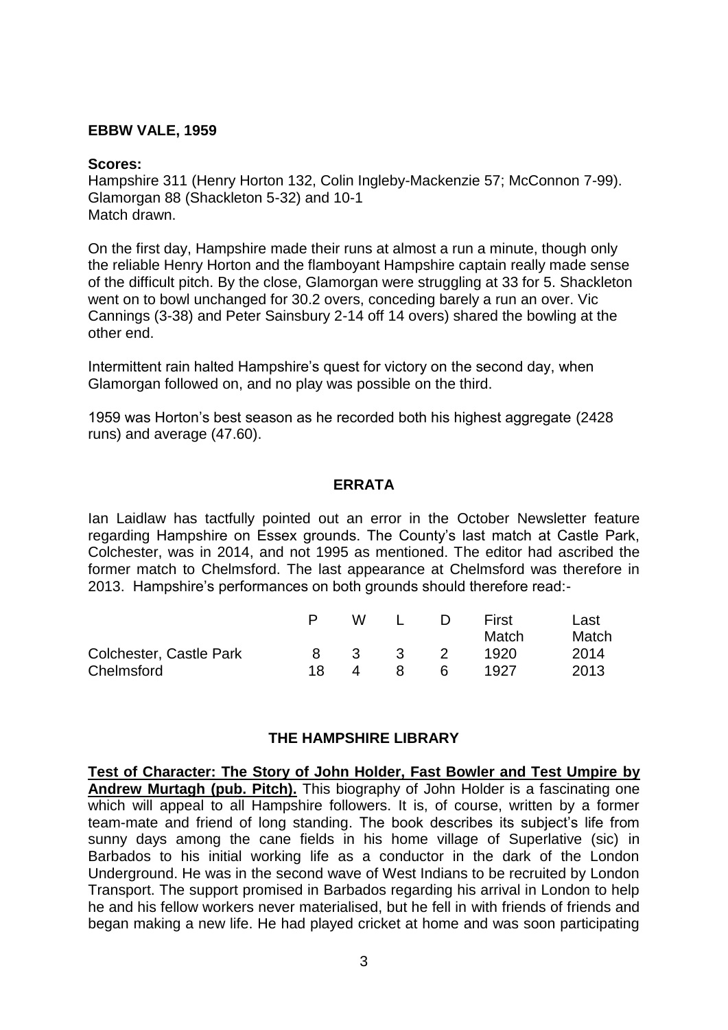#### **EBBW VALE, 1959**

#### **Scores:**

Hampshire 311 (Henry Horton 132, Colin Ingleby-Mackenzie 57; McConnon 7-99). Glamorgan 88 (Shackleton 5-32) and 10-1 Match drawn.

On the first day, Hampshire made their runs at almost a run a minute, though only the reliable Henry Horton and the flamboyant Hampshire captain really made sense of the difficult pitch. By the close, Glamorgan were struggling at 33 for 5. Shackleton went on to bowl unchanged for 30.2 overs, conceding barely a run an over. Vic Cannings (3-38) and Peter Sainsbury 2-14 off 14 overs) shared the bowling at the other end.

Intermittent rain halted Hampshire's quest for victory on the second day, when Glamorgan followed on, and no play was possible on the third.

1959 was Horton's best season as he recorded both his highest aggregate (2428 runs) and average (47.60).

#### **ERRATA**

Ian Laidlaw has tactfully pointed out an error in the October Newsletter feature regarding Hampshire on Essex grounds. The County's last match at Castle Park, Colchester, was in 2014, and not 1995 as mentioned. The editor had ascribed the former match to Chelmsford. The last appearance at Chelmsford was therefore in 2013. Hampshire's performances on both grounds should therefore read:-

|                         |     | w            |              | $\Box$ | First<br>Match | Last<br>Match |
|-------------------------|-----|--------------|--------------|--------|----------------|---------------|
| Colchester, Castle Park | 8.  | $\mathbf{3}$ | $\mathbf{3}$ | - 2    | 1920           | 2014          |
| Chelmsford              | 18. | 4            | 8            | 6      | 1927           | 2013          |

# **THE HAMPSHIRE LIBRARY**

**Test of Character: The Story of John Holder, Fast Bowler and Test Umpire by Andrew Murtagh (pub. Pitch).** This biography of John Holder is a fascinating one which will appeal to all Hampshire followers. It is, of course, written by a former team-mate and friend of long standing. The book describes its subject's life from sunny days among the cane fields in his home village of Superlative (sic) in Barbados to his initial working life as a conductor in the dark of the London Underground. He was in the second wave of West Indians to be recruited by London Transport. The support promised in Barbados regarding his arrival in London to help he and his fellow workers never materialised, but he fell in with friends of friends and began making a new life. He had played cricket at home and was soon participating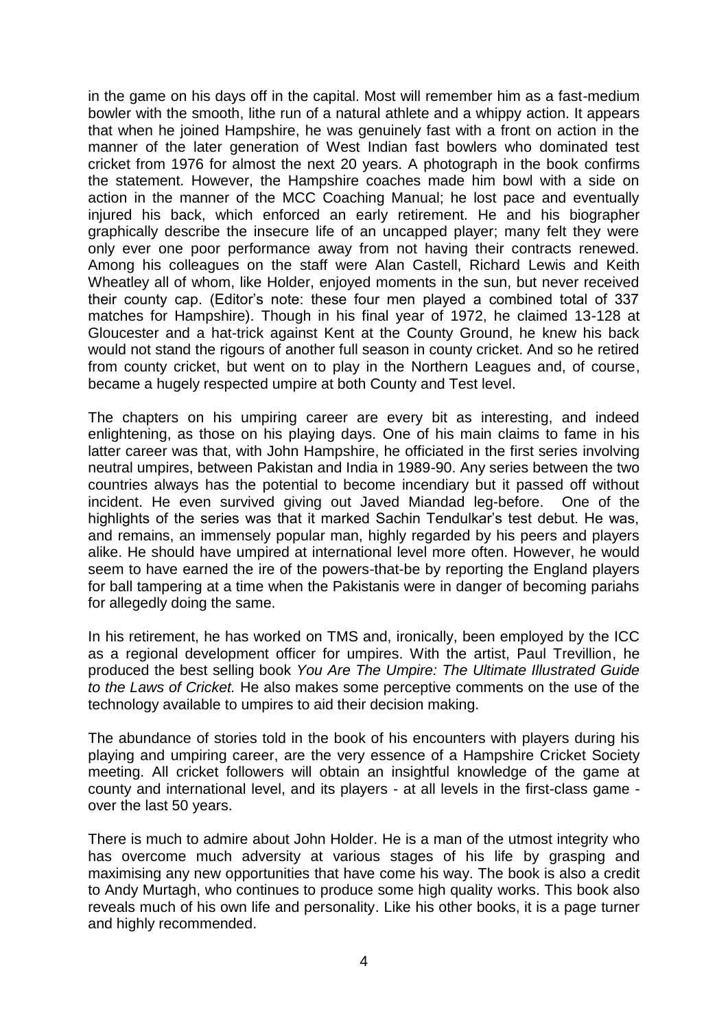in the game on his days off in the capital. Most will remember him as a fast-medium bowler with the smooth, lithe run of a natural athlete and a whippy action. It appears that when he joined Hampshire, he was genuinely fast with a front on action in the manner of the later generation of West Indian fast bowlers who dominated test cricket from 1976 for almost the next 20 years. A photograph in the book confirms the statement. However, the Hampshire coaches made him bowl with a side on action in the manner of the MCC Coaching Manual; he lost pace and eventually injured his back, which enforced an early retirement. He and his biographer graphically describe the insecure life of an uncapped player; many felt they were only ever one poor performance away from not having their contracts renewed. Among his colleagues on the staff were Alan Castell, Richard Lewis and Keith Wheatley all of whom, like Holder, enjoyed moments in the sun, but never received their county cap. (Editor's note: these four men played a combined total of 337 matches for Hampshire). Though in his final year of 1972, he claimed 13-128 at Gloucester and a hat-trick against Kent at the County Ground, he knew his back would not stand the rigours of another full season in county cricket. And so he retired from county cricket, but went on to play in the Northern Leagues and, of course, became a hugely respected umpire at both County and Test level.

The chapters on his umpiring career are every bit as interesting, and indeed enlightening, as those on his playing days. One of his main claims to fame in his latter career was that, with John Hampshire, he officiated in the first series involving neutral umpires, between Pakistan and India in 1989-90. Any series between the two countries always has the potential to become incendiary but it passed off without incident. He even survived giving out Javed Miandad leg-before. One of the highlights of the series was that it marked Sachin Tendulkar's test debut. He was, and remains, an immensely popular man, highly regarded by his peers and players alike. He should have umpired at international level more often. However, he would seem to have earned the ire of the powers-that-be by reporting the England players for ball tampering at a time when the Pakistanis were in danger of becoming pariahs for allegedly doing the same.

In his retirement, he has worked on TMS and, ironically, been employed by the ICC as a regional development officer for umpires. With the artist, Paul Trevillion, he produced the best selling book *You Are The Umpire: The Ultimate Illustrated Guide to the Laws of Cricket.* He also makes some perceptive comments on the use of the technology available to umpires to aid their decision making.

The abundance of stories told in the book of his encounters with players during his playing and umpiring career, are the very essence of a Hampshire Cricket Society meeting. All cricket followers will obtain an insightful knowledge of the game at county and international level, and its players - at all levels in the first-class game over the last 50 years.

There is much to admire about John Holder. He is a man of the utmost integrity who has overcome much adversity at various stages of his life by grasping and maximising any new opportunities that have come his way. The book is also a credit to Andy Murtagh, who continues to produce some high quality works. This book also reveals much of his own life and personality. Like his other books, it is a page turner and highly recommended.